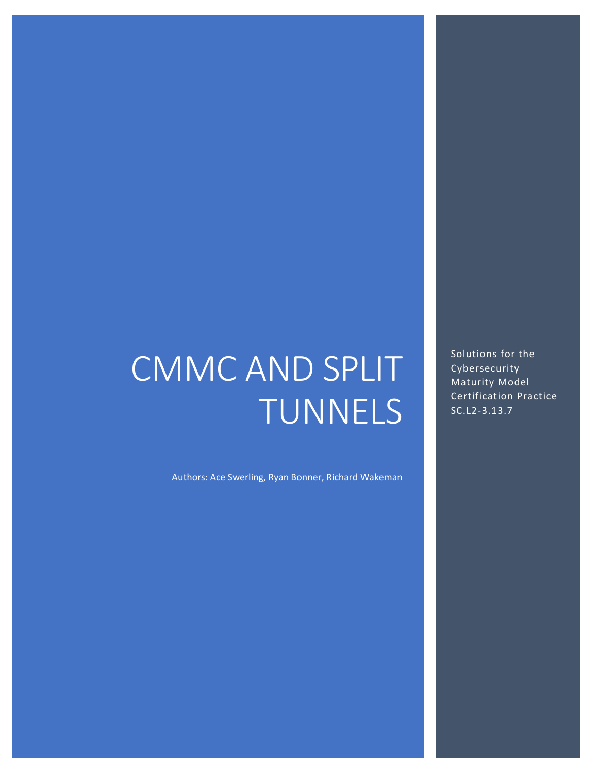# CMMC AND SPLIT TUNNELS

Authors: Ace Swerling, Ryan Bonner, Richard Wakeman

Solutions for the Cybersecurity Maturity Model Certification Practice SC.L2-3.13.7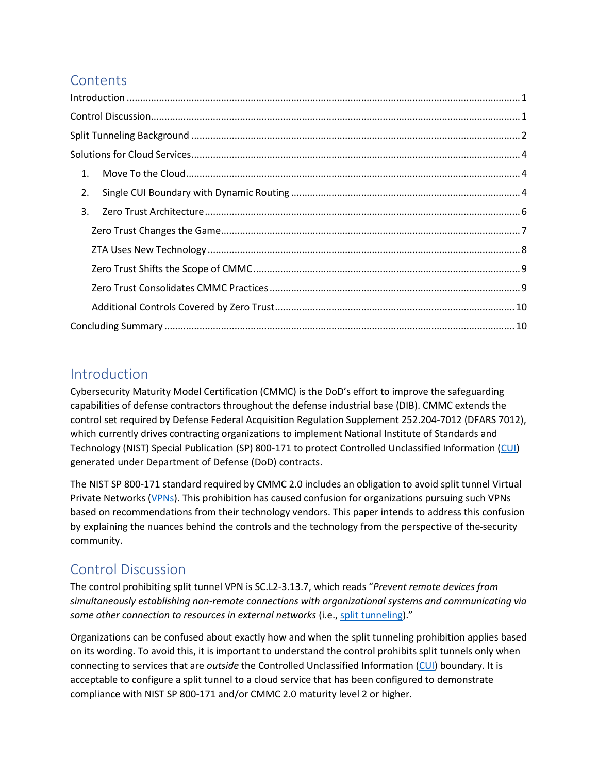# **Contents**

| 2. |  |
|----|--|
| 3. |  |
|    |  |
|    |  |
|    |  |
|    |  |
|    |  |
|    |  |

## <span id="page-1-0"></span>Introduction

Cybersecurity Maturity Model Certification (CMMC) is the DoD's effort to improve the safeguarding capabilities of defense contractors throughout the defense industrial base (DIB). CMMC extends the control set required by Defense Federal Acquisition Regulation Supplement 252.204-7012 (DFARS 7012), which currently drives contracting organizations to implement National Institute of Standards and Technology (NIST) Special Publication (SP) 800-171 to protect Controlled Unclassified Information [\(CUI\)](https://www.dcsa.mil/mc/ctp/cui/) generated under Department of Defense (DoD) contracts.

The NIST SP 800-171 standard required by CMMC 2.0 includes an obligation to avoid split tunnel Virtual Private Networks [\(VPNs](https://csrc.nist.gov/glossary/term/virtual_private_network)). This prohibition has caused confusion for organizations pursuing such VPNs based on recommendations from their technology vendors. This paper intends to address this confusion by explaining the nuances behind the controls and the technology from the perspective of the security community.

# <span id="page-1-1"></span>Control Discussion

The control prohibiting split tunnel VPN is SC.L2-3.13.7, which reads "*Prevent remote devices from simultaneously establishing non-remote connections with organizational systems and communicating via some other connection to resources in external networks* (i.e.[, split tunneling\)](https://en.wikipedia.org/wiki/Split_tunneling)."

Organizations can be confused about exactly how and when the split tunneling prohibition applies based on its wording. To avoid this, it is important to understand the control prohibits split tunnels only when connecting to services that are *outside* the Controlled Unclassified Information [\(CUI\)](https://www.dcsa.mil/mc/ctp/cui/) boundary. It is acceptable to configure a split tunnel to a cloud service that has been configured to demonstrate compliance with NIST SP 800-171 and/or CMMC 2.0 maturity level 2 or higher.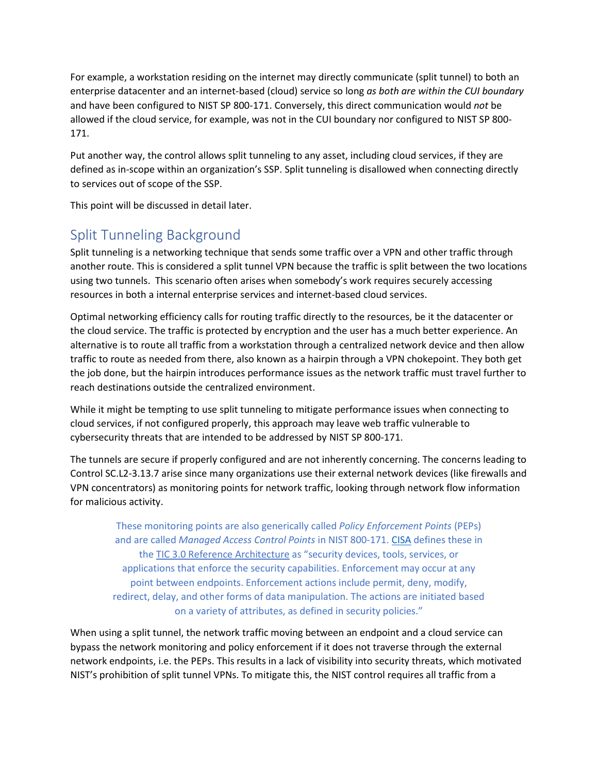For example, a workstation residing on the internet may directly communicate (split tunnel) to both an enterprise datacenter and an internet-based (cloud) service so long *as both are within the CUI boundary* and have been configured to NIST SP 800-171. Conversely, this direct communication would *not* be allowed if the cloud service, for example, was not in the CUI boundary nor configured to NIST SP 800- 171.

Put another way, the control allows split tunneling to any asset, including cloud services, if they are defined as in-scope within an organization's SSP. Split tunneling is disallowed when connecting directly to services out of scope of the SSP.

This point will be discussed in detail later.

# <span id="page-2-0"></span>Split Tunneling Background

Split tunneling is a networking technique that sends some traffic over a VPN and other traffic through another route. This is considered a split tunnel VPN because the traffic is split between the two locations using two tunnels. This scenario often arises when somebody's work requires securely accessing resources in both a internal enterprise services and internet-based cloud services.

Optimal networking efficiency calls for routing traffic directly to the resources, be it the datacenter or the cloud service. The traffic is protected by encryption and the user has a much better experience. An alternative is to route all traffic from a workstation through a centralized network device and then allow traffic to route as needed from there, also known as a hairpin through a VPN chokepoint. They both get the job done, but the hairpin introduces performance issues as the network traffic must travel further to reach destinations outside the centralized environment.

While it might be tempting to use split tunneling to mitigate performance issues when connecting to cloud services, if not configured properly, this approach may leave web traffic vulnerable to cybersecurity threats that are intended to be addressed by NIST SP 800-171.

The tunnels are secure if properly configured and are not inherently concerning. The concerns leading to Control SC.L2-3.13.7 arise since many organizations use their external network devices (like firewalls and VPN concentrators) as monitoring points for network traffic, looking through network flow information for malicious activity.

These monitoring points are also generically called *Policy Enforcement Points* (PEPs) and are called *Managed Access Control Points* in NIST 800-171. [CISA](https://www.cisa.gov/) defines these in the [TIC 3.0 Reference Architecture](https://www.cisa.gov/sites/default/files/publications/CISA%20TIC%203.0%20Reference%20Architecture%20v1.1.pdf) as "security devices, tools, services, or applications that enforce the security capabilities. Enforcement may occur at any point between endpoints. Enforcement actions include permit, deny, modify, redirect, delay, and other forms of data manipulation. The actions are initiated based on a variety of attributes, as defined in security policies."

When using a split tunnel, the network traffic moving between an endpoint and a cloud service can bypass the network monitoring and policy enforcement if it does not traverse through the external network endpoints, i.e. the PEPs. This results in a lack of visibility into security threats, which motivated NIST's prohibition of split tunnel VPNs. To mitigate this, the NIST control requires all traffic from a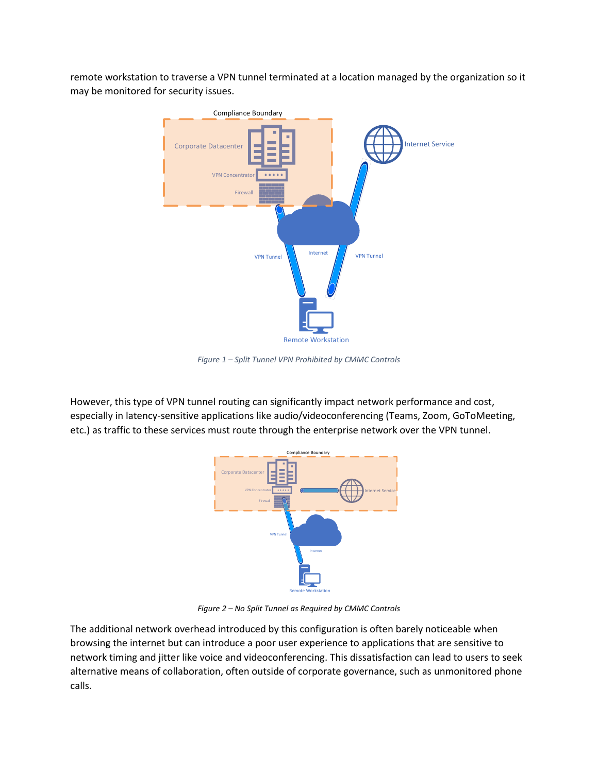remote workstation to traverse a VPN tunnel terminated at a location managed by the organization so it may be monitored for security issues.



*Figure 1 – Split Tunnel VPN Prohibited by CMMC Controls*

However, this type of VPN tunnel routing can significantly impact network performance and cost, especially in latency-sensitive applications like audio/videoconferencing (Teams, Zoom, GoToMeeting, etc.) as traffic to these services must route through the enterprise network over the VPN tunnel.



*Figure 2 – No Split Tunnel as Required by CMMC Controls*

The additional network overhead introduced by this configuration is often barely noticeable when browsing the internet but can introduce a poor user experience to applications that are sensitive to network timing and jitter like voice and videoconferencing. This dissatisfaction can lead to users to seek alternative means of collaboration, often outside of corporate governance, such as unmonitored phone calls.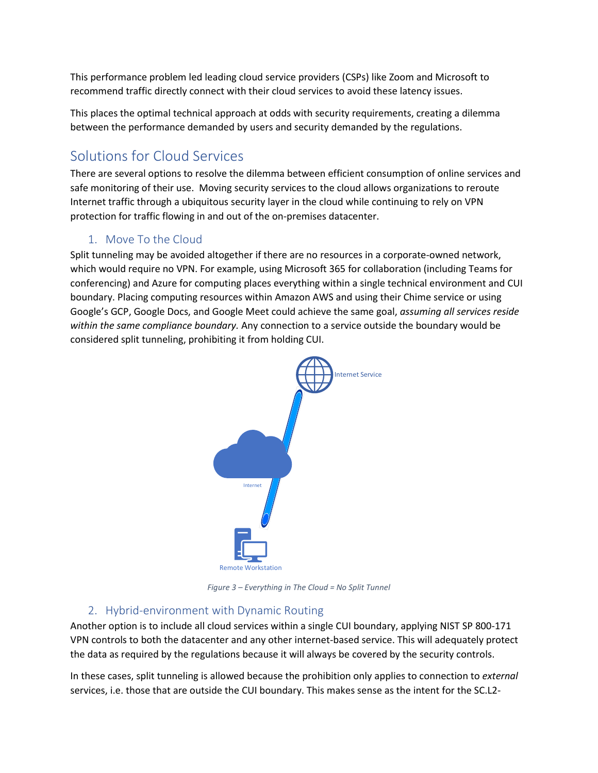This performance problem led leading cloud service providers (CSPs) like Zoom and Microsoft to recommend traffic directly connect with their cloud services to avoid these latency issues.

This places the optimal technical approach at odds with security requirements, creating a dilemma between the performance demanded by users and security demanded by the regulations.

# <span id="page-4-0"></span>Solutions for Cloud Services

There are several options to resolve the dilemma between efficient consumption of online services and safe monitoring of their use. Moving security services to the cloud allows organizations to reroute Internet traffic through a ubiquitous security layer in the cloud while continuing to rely on VPN protection for traffic flowing in and out of the on-premises datacenter.

## 1. Move To the Cloud

<span id="page-4-1"></span>Split tunneling may be avoided altogether if there are no resources in a corporate-owned network, which would require no VPN. For example, using Microsoft 365 for collaboration (including Teams for conferencing) and Azure for computing places everything within a single technical environment and CUI boundary. Placing computing resources within Amazon AWS and using their Chime service or using Google's GCP, Google Docs, and Google Meet could achieve the same goal, *assuming all services reside within the same compliance boundary.* Any connection to a service outside the boundary would be considered split tunneling, prohibiting it from holding CUI.



*Figure 3 – Everything in The Cloud = No Split Tunnel*

## 2. Hybrid-environment with Dynamic Routing

<span id="page-4-2"></span>Another option is to include all cloud services within a single CUI boundary, applying NIST SP 800-171 VPN controls to both the datacenter and any other internet-based service. This will adequately protect the data as required by the regulations because it will always be covered by the security controls.

In these cases, split tunneling is allowed because the prohibition only applies to connection to *external*  services, i.e. those that are outside the CUI boundary. This makes sense as the intent for the SC.L2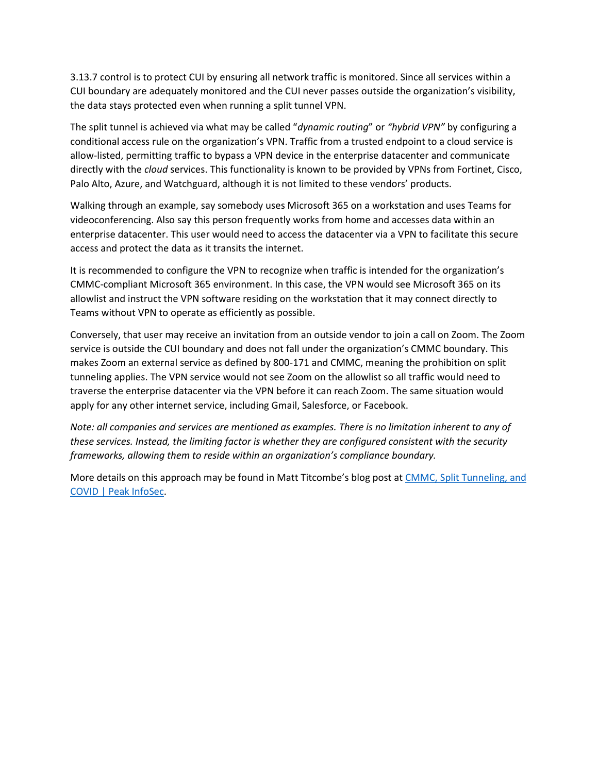3.13.7 control is to protect CUI by ensuring all network traffic is monitored. Since all services within a CUI boundary are adequately monitored and the CUI never passes outside the organization's visibility, the data stays protected even when running a split tunnel VPN.

The split tunnel is achieved via what may be called "*dynamic routing*" or *"hybrid VPN"* by configuring a conditional access rule on the organization's VPN. Traffic from a trusted endpoint to a cloud service is allow-listed, permitting traffic to bypass a VPN device in the enterprise datacenter and communicate directly with the *cloud* services. This functionality is known to be provided by VPNs from Fortinet, Cisco, Palo Alto, Azure, and Watchguard, although it is not limited to these vendors' products.

Walking through an example, say somebody uses Microsoft 365 on a workstation and uses Teams for videoconferencing. Also say this person frequently works from home and accesses data within an enterprise datacenter. This user would need to access the datacenter via a VPN to facilitate this secure access and protect the data as it transits the internet.

It is recommended to configure the VPN to recognize when traffic is intended for the organization's CMMC-compliant Microsoft 365 environment. In this case, the VPN would see Microsoft 365 on its allowlist and instruct the VPN software residing on the workstation that it may connect directly to Teams without VPN to operate as efficiently as possible.

Conversely, that user may receive an invitation from an outside vendor to join a call on Zoom. The Zoom service is outside the CUI boundary and does not fall under the organization's CMMC boundary. This makes Zoom an external service as defined by 800-171 and CMMC, meaning the prohibition on split tunneling applies. The VPN service would not see Zoom on the allowlist so all traffic would need to traverse the enterprise datacenter via the VPN before it can reach Zoom. The same situation would apply for any other internet service, including Gmail, Salesforce, or Facebook.

*Note: all companies and services are mentioned as examples. There is no limitation inherent to any of these services. Instead, the limiting factor is whether they are configured consistent with the security frameworks, allowing them to reside within an organization's compliance boundary.*

More details on this approach may be found in Matt Titcombe's blog post at [CMMC, Split Tunneling, and](https://peakinfosec.com/information-security/compliance/cmmc/split_tunneling/)  [COVID | Peak InfoSec.](https://peakinfosec.com/information-security/compliance/cmmc/split_tunneling/)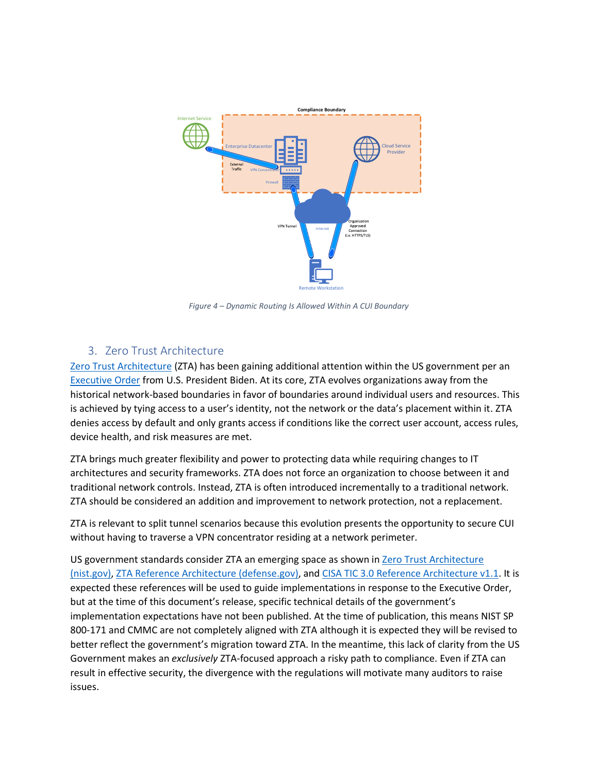

*Figure 4 – Dynamic Routing Is Allowed Within A CUI Boundary*

## 3. Zero Trust Architecture

<span id="page-6-0"></span>[Zero Trust Architecture](https://en.wikipedia.org/wiki/Zero_trust_security_model) (ZTA) has been gaining additional attention within the US government per an [Executive Order](https://www.whitehouse.gov/briefing-room/presidential-actions/2021/05/12/executive-order-on-improving-the-nations-cybersecurity/) from U.S. President Biden. At its core, ZTA evolves organizations away from the historical network-based boundaries in favor of boundaries around individual users and resources. This is achieved by tying access to a user's identity, not the network or the data's placement within it. ZTA denies access by default and only grants access if conditions like the correct user account, access rules, device health, and risk measures are met.

ZTA brings much greater flexibility and power to protecting data while requiring changes to IT architectures and security frameworks. ZTA does not force an organization to choose between it and traditional network controls. Instead, ZTA is often introduced incrementally to a traditional network. ZTA should be considered an addition and improvement to network protection, not a replacement.

ZTA is relevant to split tunnel scenarios because this evolution presents the opportunity to secure CUI without having to traverse a VPN concentrator residing at a network perimeter.

US government standards consider ZTA an emerging space as shown in [Zero Trust Architecture](https://nvlpubs.nist.gov/nistpubs/SpecialPublications/NIST.SP.800-207.pdf)  [\(nist.gov\),](https://nvlpubs.nist.gov/nistpubs/SpecialPublications/NIST.SP.800-207.pdf) [ZTA Reference Architecture \(defense.gov\),](https://dodcio.defense.gov/Portals/0/Documents/Library/(U)ZT_RA_v1.1(U)_Mar21.pdf) and [CISA TIC 3.0 Reference Architecture v1.1.](https://www.cisa.gov/sites/default/files/publications/CISA%20TIC%203.0%20Reference%20Architecture%20v1.1.pdf) It is expected these references will be used to guide implementations in response to the Executive Order, but at the time of this document's release, specific technical details of the government's implementation expectations have not been published. At the time of publication, this means NIST SP 800-171 and CMMC are not completely aligned with ZTA although it is expected they will be revised to better reflect the government's migration toward ZTA. In the meantime, this lack of clarity from the US Government makes an *exclusively* ZTA-focused approach a risky path to compliance. Even if ZTA can result in effective security, the divergence with the regulations will motivate many auditors to raise issues.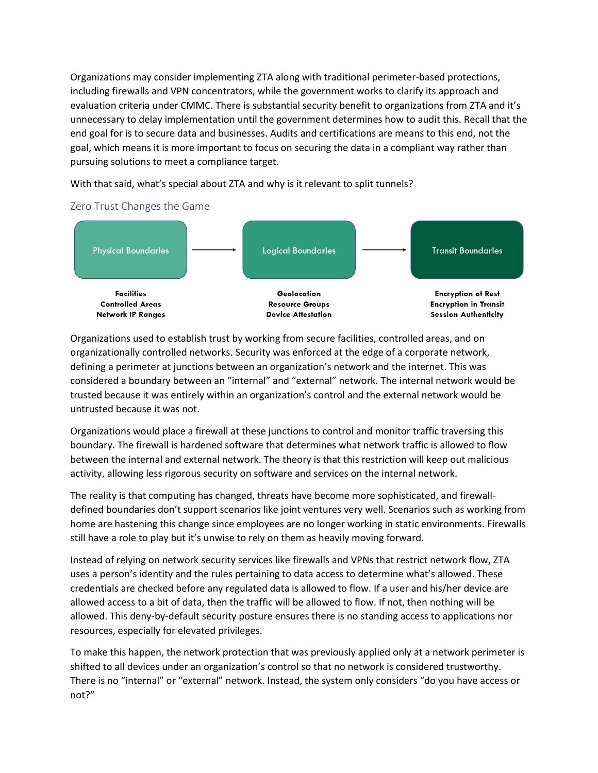Organizations may consider implementing ZTA along with traditional perimeter-based protections, including firewalls and VPN concentrators, while the government works to clarify its approach and evaluation criteria under CMMC. There is substantial security benefit to organizations from ZTA and it's unnecessary to delay implementation until the government determines how to audit this. Recall that the end goal for is to secure data and businesses. Audits and certifications are means to this end, not the goal, which means it is more important to focus on securing the data in a compliant way rather than pursuing solutions to meet a compliance target.

With that said, what's special about ZTA and why is it relevant to split tunnels?

#### <span id="page-7-0"></span>Zero Trust Changes the Game



Organizations used to establish trust by working from secure facilities, controlled areas, and on organizationally controlled networks. Security was enforced at the edge of a corporate network, defining a perimeter at junctions between an organization's network and the internet. This was considered a boundary between an "internal" and "external" network. The internal network would be trusted because it was entirely within an organization's control and the external network would be untrusted because it was not.

Organizations would place a firewall at these junctions to control and monitor traffic traversing this boundary. The firewall is hardened software that determines what network traffic is allowed to flow between the internal and external network. The theory is that this restriction will keep out malicious activity, allowing less rigorous security on software and services on the internal network.

The reality is that computing has changed, threats have become more sophisticated, and firewalldefined boundaries don't support scenarios like joint ventures very well. Scenarios such as working from home are hastening this change since employees are no longer working in static environments. Firewalls still have a role to play but it's unwise to rely on them as heavily moving forward.

Instead of relying on network security services like firewalls and VPNs that restrict network flow, ZTA uses a person's identity and the rules pertaining to data access to determine what's allowed. These credentials are checked before any regulated data is allowed to flow. If a user and his/her device are allowed access to a bit of data, then the traffic will be allowed to flow. If not, then nothing will be allowed. This deny-by-default security posture ensures there is no standing access to applications nor resources, especially for elevated privileges.

To make this happen, the network protection that was previously applied only at a network perimeter is shifted to all devices under an organization's control so that no network is considered trustworthy. There is no "internal" or "external" network. Instead, the system only considers "do you have access or not?"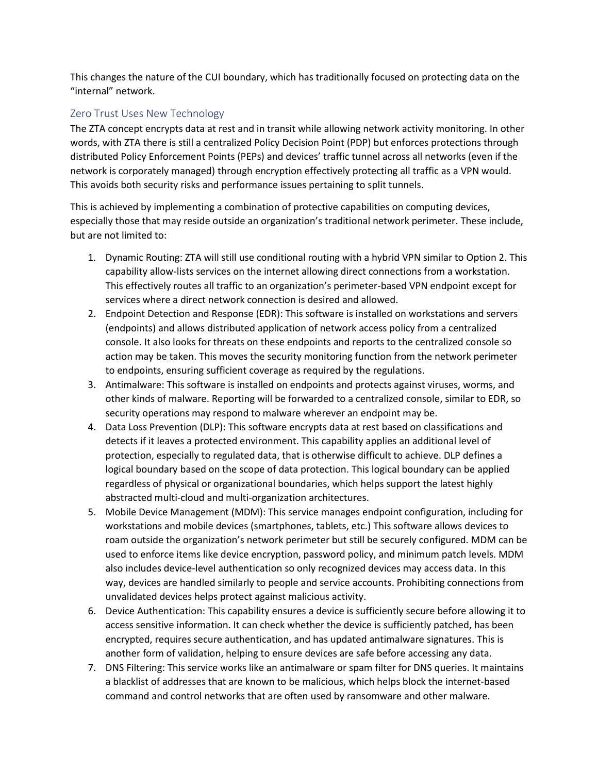This changes the nature of the CUI boundary, which has traditionally focused on protecting data on the "internal" network.

#### <span id="page-8-0"></span>Zero Trust Uses New Technology

The ZTA concept encrypts data at rest and in transit while allowing network activity monitoring. In other words, with ZTA there is still a centralized Policy Decision Point (PDP) but enforces protections through distributed Policy Enforcement Points (PEPs) and devices' traffic tunnel across all networks (even if the network is corporately managed) through encryption effectively protecting all traffic as a VPN would. This avoids both security risks and performance issues pertaining to split tunnels.

This is achieved by implementing a combination of protective capabilities on computing devices, especially those that may reside outside an organization's traditional network perimeter. These include, but are not limited to:

- 1. Dynamic Routing: ZTA will still use conditional routing with a hybrid VPN similar to Option 2. This capability allow-lists services on the internet allowing direct connections from a workstation. This effectively routes all traffic to an organization's perimeter-based VPN endpoint except for services where a direct network connection is desired and allowed.
- 2. Endpoint Detection and Response (EDR): This software is installed on workstations and servers (endpoints) and allows distributed application of network access policy from a centralized console. It also looks for threats on these endpoints and reports to the centralized console so action may be taken. This moves the security monitoring function from the network perimeter to endpoints, ensuring sufficient coverage as required by the regulations.
- 3. Antimalware: This software is installed on endpoints and protects against viruses, worms, and other kinds of malware. Reporting will be forwarded to a centralized console, similar to EDR, so security operations may respond to malware wherever an endpoint may be.
- 4. Data Loss Prevention (DLP): This software encrypts data at rest based on classifications and detects if it leaves a protected environment. This capability applies an additional level of protection, especially to regulated data, that is otherwise difficult to achieve. DLP defines a logical boundary based on the scope of data protection. This logical boundary can be applied regardless of physical or organizational boundaries, which helps support the latest highly abstracted multi-cloud and multi-organization architectures.
- 5. Mobile Device Management (MDM): This service manages endpoint configuration, including for workstations and mobile devices (smartphones, tablets, etc.) This software allows devices to roam outside the organization's network perimeter but still be securely configured. MDM can be used to enforce items like device encryption, password policy, and minimum patch levels. MDM also includes device-level authentication so only recognized devices may access data. In this way, devices are handled similarly to people and service accounts. Prohibiting connections from unvalidated devices helps protect against malicious activity.
- 6. Device Authentication: This capability ensures a device is sufficiently secure before allowing it to access sensitive information. It can check whether the device is sufficiently patched, has been encrypted, requires secure authentication, and has updated antimalware signatures. This is another form of validation, helping to ensure devices are safe before accessing any data.
- 7. DNS Filtering: This service works like an antimalware or spam filter for DNS queries. It maintains a blacklist of addresses that are known to be malicious, which helps block the internet-based command and control networks that are often used by ransomware and other malware.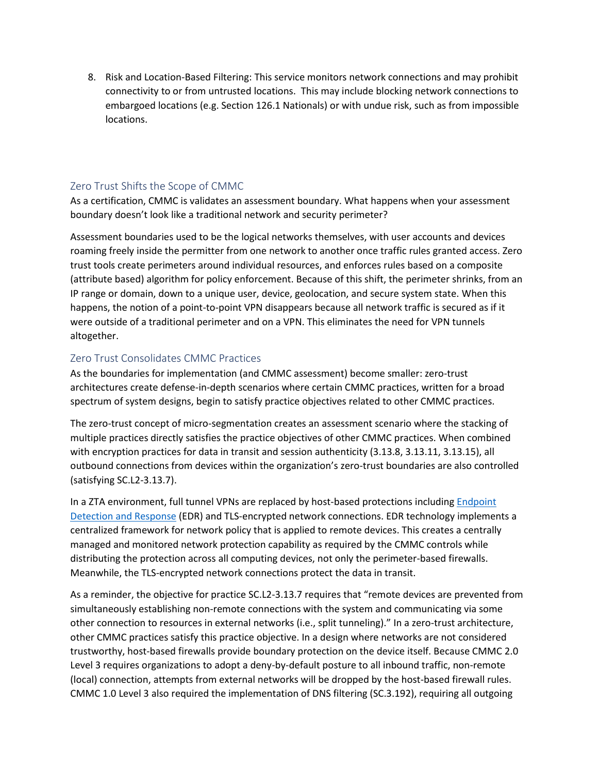8. Risk and Location-Based Filtering: This service monitors network connections and may prohibit connectivity to or from untrusted locations. This may include blocking network connections to embargoed locations (e.g. Section 126.1 Nationals) or with undue risk, such as from impossible locations.

## <span id="page-9-0"></span>Zero Trust Shifts the Scope of CMMC

As a certification, CMMC is validates an assessment boundary. What happens when your assessment boundary doesn't look like a traditional network and security perimeter?

Assessment boundaries used to be the logical networks themselves, with user accounts and devices roaming freely inside the permitter from one network to another once traffic rules granted access. Zero trust tools create perimeters around individual resources, and enforces rules based on a composite (attribute based) algorithm for policy enforcement. Because of this shift, the perimeter shrinks, from an IP range or domain, down to a unique user, device, geolocation, and secure system state. When this happens, the notion of a point-to-point VPN disappears because all network traffic is secured as if it were outside of a traditional perimeter and on a VPN. This eliminates the need for VPN tunnels altogether.

#### <span id="page-9-1"></span>Zero Trust Consolidates CMMC Practices

As the boundaries for implementation (and CMMC assessment) become smaller: zero-trust architectures create defense-in-depth scenarios where certain CMMC practices, written for a broad spectrum of system designs, begin to satisfy practice objectives related to other CMMC practices.

The zero-trust concept of micro-segmentation creates an assessment scenario where the stacking of multiple practices directly satisfies the practice objectives of other CMMC practices. When combined with encryption practices for data in transit and session authenticity (3.13.8, 3.13.11, 3.13.15), all outbound connections from devices within the organization's zero-trust boundaries are also controlled (satisfying SC.L2-3.13.7).

In a ZTA environment, full tunnel VPNs are replaced by host-based protections includin[g Endpoint](https://en.wikipedia.org/wiki/Endpoint_detection_and_response)  [Detection and Response](https://en.wikipedia.org/wiki/Endpoint_detection_and_response) (EDR) and TLS-encrypted network connections. EDR technology implements a centralized framework for network policy that is applied to remote devices. This creates a centrally managed and monitored network protection capability as required by the CMMC controls while distributing the protection across all computing devices, not only the perimeter-based firewalls. Meanwhile, the TLS-encrypted network connections protect the data in transit.

As a reminder, the objective for practice SC.L2-3.13.7 requires that "remote devices are prevented from simultaneously establishing non-remote connections with the system and communicating via some other connection to resources in external networks (i.e., split tunneling)." In a zero-trust architecture, other CMMC practices satisfy this practice objective. In a design where networks are not considered trustworthy, host-based firewalls provide boundary protection on the device itself. Because CMMC 2.0 Level 3 requires organizations to adopt a deny-by-default posture to all inbound traffic, non-remote (local) connection, attempts from external networks will be dropped by the host-based firewall rules. CMMC 1.0 Level 3 also required the implementation of DNS filtering (SC.3.192), requiring all outgoing